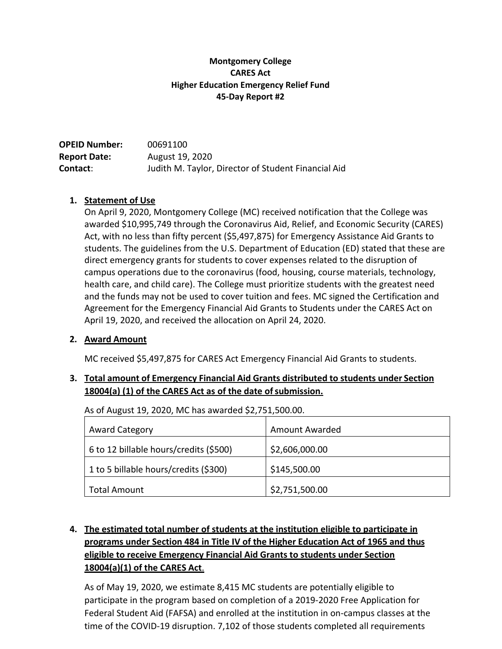### **Montgomery College CARES Act Higher Education Emergency Relief Fund 45-Day Report #2**

| <b>OPEID Number:</b> | 00691100                                            |
|----------------------|-----------------------------------------------------|
| <b>Report Date:</b>  | August 19, 2020                                     |
| <b>Contact:</b>      | Judith M. Taylor, Director of Student Financial Aid |

### **1. Statement of Use**

On April 9, 2020, Montgomery College (MC) received notification that the College was awarded \$10,995,749 through the Coronavirus Aid, Relief, and Economic Security (CARES) Act, with no less than fifty percent (\$5,497,875) for Emergency Assistance Aid Grants to students. The guidelines from the U.S. Department of Education (ED) stated that these are direct emergency grants for students to cover expenses related to the disruption of campus operations due to the coronavirus (food, housing, course materials, technology, health care, and child care). The College must prioritize students with the greatest need and the funds may not be used to cover tuition and fees. MC signed the Certification and Agreement for the Emergency Financial Aid Grants to Students under the CARES Act on April 19, 2020, and received the allocation on April 24, 2020.

### **2. Award Amount**

MC received \$5,497,875 for CARES Act Emergency Financial Aid Grants to students.

## **3. Total amount of Emergency Financial Aid Grants distributed to students under Section**  18004(a) (1) of the CARES Act as of the date of submission.

As of August 19, 2020, MC has awarded \$2,751,500.00.

| <b>Award Category</b>                  | Amount Awarded |
|----------------------------------------|----------------|
| 6 to 12 billable hours/credits (\$500) | \$2,606,000.00 |
| 1 to 5 billable hours/credits (\$300)  | \$145,500.00   |
| <b>Total Amount</b>                    | \$2,751,500.00 |

# **4. The estimated total number of students at the institution eligible to participate in programs under Section 484 in Title IV of the Higher Education Act of 1965 and thus eligible to receive Emergency Financial Aid Grants to students under Section 18004(a)(1) of the CARES Act**.

As of May 19, 2020, we estimate 8,415 MC students are potentially eligible to participate in the program based on completion of a 2019-2020 Free Application for Federal Student Aid (FAFSA) and enrolled at the institution in on-campus classes at the time of the COVID-19 disruption. 7,102 of those students completed all requirements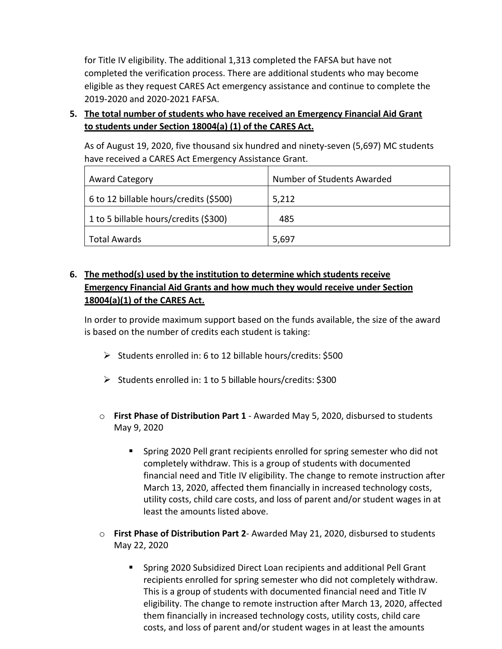for Title IV eligibility. The additional 1,313 completed the FAFSA but have not completed the verification process. There are additional students who may become eligible as they request CARES Act emergency assistance and continue to complete the 2019-2020 and 2020-2021 FAFSA.

**5. The total number of students who have received an Emergency Financial Aid Grant to students under Section 18004(a) (1) of the CARES Act.**

As of August 19, 2020, five thousand six hundred and ninety-seven (5,697) MC students have received a CARES Act Emergency Assistance Grant.

| <b>Award Category</b>                  | Number of Students Awarded |
|----------------------------------------|----------------------------|
| 6 to 12 billable hours/credits (\$500) | 5,212                      |
| 1 to 5 billable hours/credits (\$300)  | 485                        |
| Total Awards                           | 5,697                      |

# **6. The method(s) used by the institution to determine which students receive Emergency Financial Aid Grants and how much they would receive under Section 18004(a)(1) of the CARES Act.**

In order to provide maximum support based on the funds available, the size of the award is based on the number of credits each student is taking:

- ➢ Students enrolled in: 6 to 12 billable hours/credits: \$500
- ➢ Students enrolled in: 1 to 5 billable hours/credits: \$300
- o **First Phase of Distribution Part 1**  Awarded May 5, 2020, disbursed to students May 9, 2020
	- Spring 2020 Pell grant recipients enrolled for spring semester who did not completely withdraw. This is a group of students with documented financial need and Title IV eligibility. The change to remote instruction after March 13, 2020, affected them financially in increased technology costs, utility costs, child care costs, and loss of parent and/or student wages in at least the amounts listed above.
- o **First Phase of Distribution Part 2** Awarded May 21, 2020, disbursed to students May 22, 2020
	- Spring 2020 Subsidized Direct Loan recipients and additional Pell Grant recipients enrolled for spring semester who did not completely withdraw. This is a group of students with documented financial need and Title IV eligibility. The change to remote instruction after March 13, 2020, affected them financially in increased technology costs, utility costs, child care costs, and loss of parent and/or student wages in at least the amounts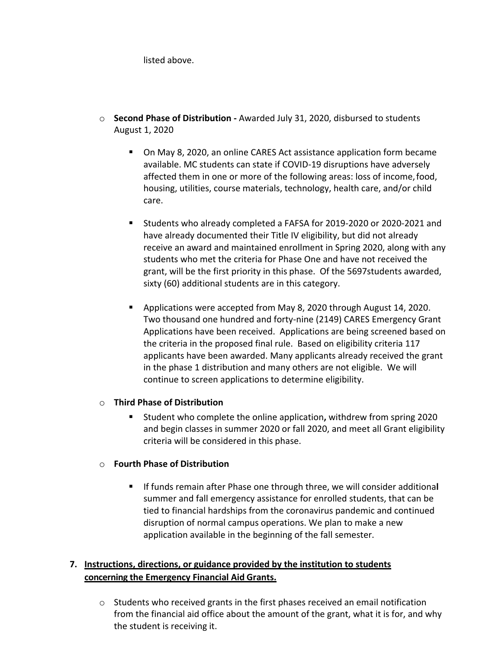listed above.

- o **Second Phase of Distribution -** Awarded July 31, 2020, disbursed to students August 1, 2020
	- On May 8, 2020, an online CARES Act assistance application form became available. MC students can state if COVID-19 disruptions have adversely affected them in one or more of the following areas: loss of income,food, housing, utilities, course materials, technology, health care, and/or child care.
	- Students who already completed a FAFSA for 2019-2020 or 2020-2021 and have already documented their Title IV eligibility, but did not already receive an award and maintained enrollment in Spring 2020, along with any students who met the criteria for Phase One and have not received the grant, will be the first priority in this phase. Of the 5697students awarded, sixty (60) additional students are in this category.
	- Applications were accepted from May 8, 2020 through August 14, 2020. Two thousand one hundred and forty-nine (2149) CARES Emergency Grant Applications have been received. Applications are being screened based on the criteria in the proposed final rule. Based on eligibility criteria 117 applicants have been awarded. Many applicants already received the grant in the phase 1 distribution and many others are not eligible. We will continue to screen applications to determine eligibility.

### o **Third Phase of Distribution**

▪ Student who complete the online application**,** withdrew from spring 2020 and begin classes in summer 2020 or fall 2020, and meet all Grant eligibility criteria will be considered in this phase.

### o **Fourth Phase of Distribution**

▪ If funds remain after Phase one through three, we will consider additiona**l**  summer and fall emergency assistance for enrolled students, that can be tied to financial hardships from the coronavirus pandemic and continued disruption of normal campus operations. We plan to make a new application available in the beginning of the fall semester.

## **7. Instructions, directions, or guidance provided by the institution to students concerning the Emergency Financial Aid Grants.**

 $\circ$  Students who received grants in the first phases received an email notification from the financial aid office about the amount of the grant, what it is for, and why the student is receiving it.